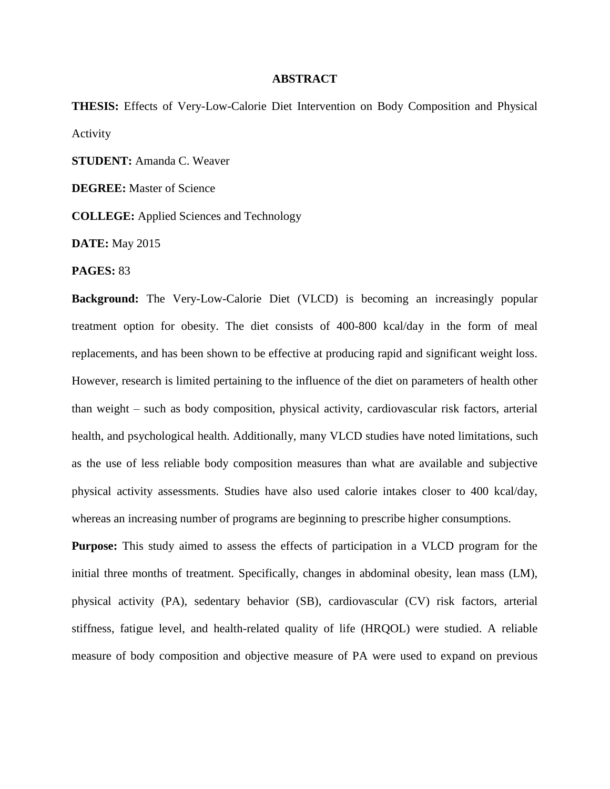## **ABSTRACT**

**THESIS:** Effects of Very-Low-Calorie Diet Intervention on Body Composition and Physical Activity

**STUDENT:** Amanda C. Weaver

**DEGREE:** Master of Science

**COLLEGE:** Applied Sciences and Technology

**DATE:** May 2015

**PAGES:** 83

**Background:** The Very-Low-Calorie Diet (VLCD) is becoming an increasingly popular treatment option for obesity. The diet consists of 400-800 kcal/day in the form of meal replacements, and has been shown to be effective at producing rapid and significant weight loss. However, research is limited pertaining to the influence of the diet on parameters of health other than weight – such as body composition, physical activity, cardiovascular risk factors, arterial health, and psychological health. Additionally, many VLCD studies have noted limitations, such as the use of less reliable body composition measures than what are available and subjective physical activity assessments. Studies have also used calorie intakes closer to 400 kcal/day, whereas an increasing number of programs are beginning to prescribe higher consumptions.

**Purpose:** This study aimed to assess the effects of participation in a VLCD program for the initial three months of treatment. Specifically, changes in abdominal obesity, lean mass (LM), physical activity (PA), sedentary behavior (SB), cardiovascular (CV) risk factors, arterial stiffness, fatigue level, and health-related quality of life (HRQOL) were studied. A reliable measure of body composition and objective measure of PA were used to expand on previous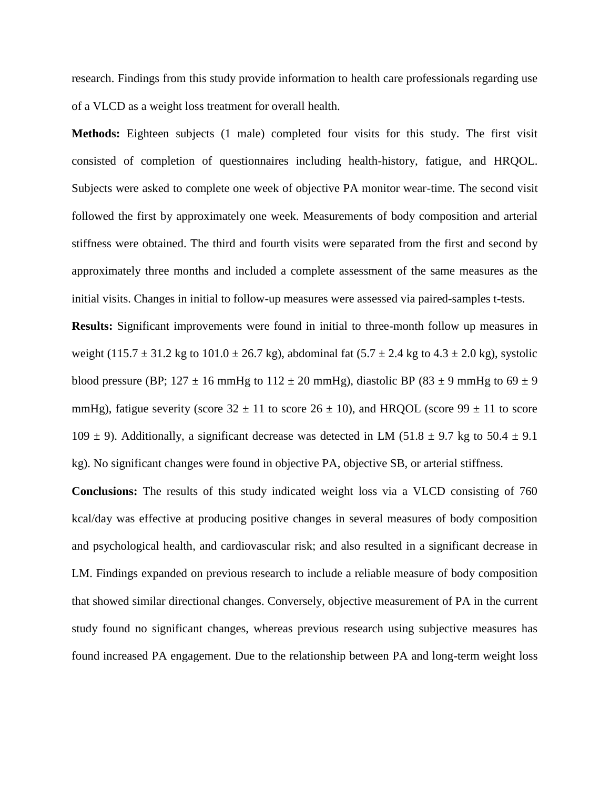research. Findings from this study provide information to health care professionals regarding use of a VLCD as a weight loss treatment for overall health.

**Methods:** Eighteen subjects (1 male) completed four visits for this study. The first visit consisted of completion of questionnaires including health-history, fatigue, and HRQOL. Subjects were asked to complete one week of objective PA monitor wear-time. The second visit followed the first by approximately one week. Measurements of body composition and arterial stiffness were obtained. The third and fourth visits were separated from the first and second by approximately three months and included a complete assessment of the same measures as the initial visits. Changes in initial to follow-up measures were assessed via paired-samples t-tests.

**Results:** Significant improvements were found in initial to three-month follow up measures in weight (115.7  $\pm$  31.2 kg to 101.0  $\pm$  26.7 kg), abdominal fat (5.7  $\pm$  2.4 kg to 4.3  $\pm$  2.0 kg), systolic blood pressure (BP;  $127 \pm 16$  mmHg to  $112 \pm 20$  mmHg), diastolic BP (83  $\pm$  9 mmHg to 69  $\pm$  9 mmHg), fatigue severity (score  $32 \pm 11$  to score  $26 \pm 10$ ), and HRQOL (score  $99 \pm 11$  to score 109  $\pm$  9). Additionally, a significant decrease was detected in LM (51.8  $\pm$  9.7 kg to 50.4  $\pm$  9.1 kg). No significant changes were found in objective PA, objective SB, or arterial stiffness.

**Conclusions:** The results of this study indicated weight loss via a VLCD consisting of 760 kcal/day was effective at producing positive changes in several measures of body composition and psychological health, and cardiovascular risk; and also resulted in a significant decrease in LM. Findings expanded on previous research to include a reliable measure of body composition that showed similar directional changes. Conversely, objective measurement of PA in the current study found no significant changes, whereas previous research using subjective measures has found increased PA engagement. Due to the relationship between PA and long-term weight loss